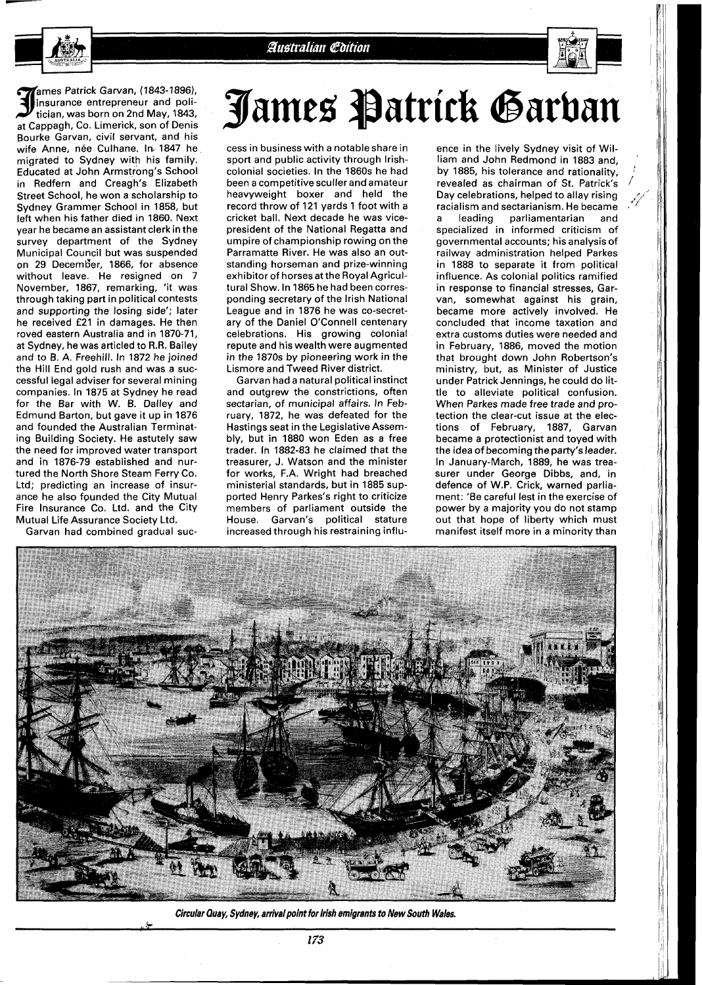



ames Patrick Garvan, (1843-1896). insurance entrepreneur and poli-<br>tician, was born on 2nd May, 1843, at Cappagh, Co. Limerick, son of Denis Bourke Garvan, civil servant, and his wife Anne, née Culhane. In 1847 he migrated to Sydney with his family. Educated at John Armstrong's School in Redfern and Creagh's Elizabeth Street School, he won a scholarship to Sydney Grammer School in 1858, but left when his father died in 1860. Next year he became an assistant clerk in the survey department of the Sydney Municipal Council but was suspended on 29 Decemb'er, 1866, for absence without leave. He resigned on 7 November, 1867, remarking, 'it was through taking part in political contests and supporting the losing side'; later he received £21 in damages. He then roved eastern Australia and in 1870-71, at Sydney, he was articled to R.R. Bailey and to B. A. Freehill. In 1872 he joined the Hill End gold rush and was a successful legal adviser for several mining companies. In 1875 at Sydney he read for the Bar with W. B. Dalley and Edmund Barton, but gave it up in 1876 and founded the Australian Terminating Building Society. He astutely saw the need for improved water transport and in 1876-79 established and nurtured the North Shore Steam Ferry Co. Ltd; predicting an increase of insurance he also founded the City Mutual Fire Insurance Co. Ltd. and the City Mutual Life Assurance Society Ltd.

Garvan had combined gradual suc-

## James Patrick Garban

cess in business with a notable share in sport and public activity through Irishcolonial societies. In the 1860s he had been a competitive sculler and amateur heavyweight boxer and held the record throw of 121 yards 1 foot with a cricket ball. Next decade he was vicepresident of the National Regatta and umpire of championship rowing on the Parramatte River. He was also an outstanding horseman and prize-winning exhibitor of horses at the Royal Agricultural Show. In 1865 he had been corresponding secretary of the lrish National League and in 1876 he was co-secretary of the Daniel O'Connell centenary celebrations. His growing colonial repute and his wealth were augmented in the 1870s by pioneering work in the Lismore and Tweed River district.

Garvan had a natural political instinct and outgrew the constrictions, often sectarian, of municipal affairs. In February, 1872, he was defeated for the Hastings seat in the Legislative Assembly, but in 1880 won Eden as a free trader. In 1882-83 he claimed that the treasurer, J. Watson and the minister for works, F.A. Wright had breached ministerial standards, but in 1885 supported Henry Parkes's right to criticize members of parliament outside the House. Garvan's political stature increased through his restraining influ-

ence in the lively Sydney visit of William and John Redmond in 1883 and, by 1885, his tolerance and rationality, revealed as chairman of St. Patrick's Day celebrations, helped to allay rising racialism and sectarianism. He became<br>a leading parliamentarian and a leading parliamentarian and specialized in informed criticism of governmental accounts; his analysis of railway administration helped Parkes in 1888 to separate it from political influence. As colonial politics ramified in response to financial stresses, Garvan, somewhat against his grain, became more actively involved. He concluded that income taxation and extra customs duties were needed and in February, 1886, moved the motion that brought down John Robertson's ministry, but, as Minister of Justice under Patrick Jennings, he could do little to alleviate political confusion. When Parkes made free trade and protection the clear-cut issue at the elections of February, 1887, Garvan became a protectionist and toyed with the idea of becoming the party's leader. In January-March, 1889, he was treasurer under George Dibbs, and, in defence of W.P. Crick, warned parliament: 'Be careful lest in the exercise of power by a majority you do not stamp out that hope of liberty which must manifest itself more in a minority than



**Circular Quay, Sydney, arrival point for Irish emigrants to New South Wales.**